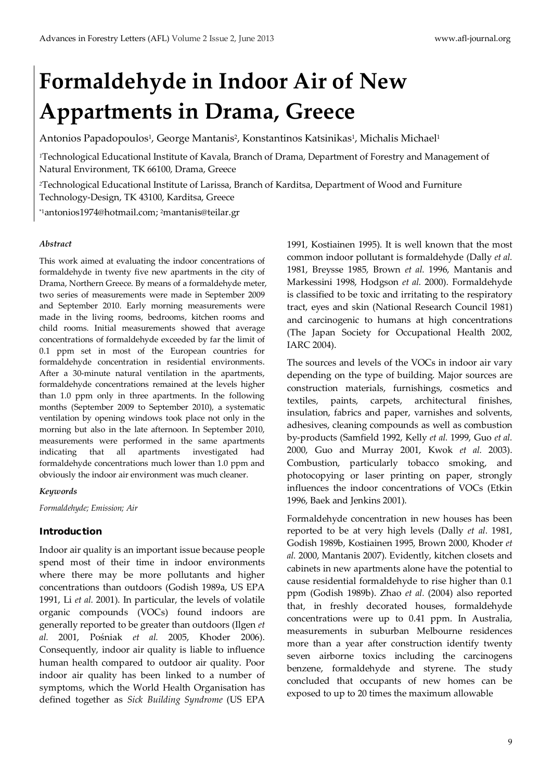# **Formaldehyde in Indoor Air of New Appartments in Drama, Greece**

Antonios Papadopoulos<sup>1</sup>, George Mantanis<sup>2</sup>, Konstantinos Katsinikas<sup>1</sup>, Michalis Michael<sup>1</sup>

*<sup>1</sup>*Technological Educational Institute of Kavala, Branch of Drama, Department of Forestry and Management of Natural Environment, TK 66100, Drama, Greece

*<sup>2</sup>*Technological Educational Institute of Larissa, Branch of Karditsa, Department of Wood and Furniture Technology-Design, TK 43100, Karditsa, Greece

[\\*1antonios1974@hotmail.com;](mailto:*1antonios1974@hotmail.com) [2mantanis@teilar.gr](mailto:2mantanis@teilar.gr)

#### *Abstract*

This work aimed at evaluating the indoor concentrations of formaldehyde in twenty five new apartments in the city of Drama, Northern Greece. By means of a formaldehyde meter, two series of measurements were made in September 2009 and September 2010. Early morning measurements were made in the living rooms, bedrooms, kitchen rooms and child rooms. Initial measurements showed that average concentrations of formaldehyde exceeded by far the limit of 0.1 ppm set in most of the European countries for formaldehyde concentration in residential environments. After a 30-minute natural ventilation in the apartments, formaldehyde concentrations remained at the levels higher than 1.0 ppm only in three apartments. In the following months (September 2009 to September 2010), a systematic ventilation by opening windows took place not only in the morning but also in the late afternoon. In September 2010, measurements were performed in the same apartments indicating that all apartments investigated had formaldehyde concentrations much lower than 1.0 ppm and obviously the indoor air environment was much cleaner.

#### *Keywords*

*Formaldehyde; Emission; Air* 

## Introduction

Indoor air quality is an important issue because people spend most of their time in indoor environments where there may be more pollutants and higher concentrations than outdoors (Godish 1989a, US EPA 1991, Li *et al.* 2001). In particular, the levels of volatile organic compounds (VOCs) found indoors are generally reported to be greater than outdoors (Ilgen *et al.* 2001, Pośniak *et al.* 2005, Khoder 2006). Consequently, indoor air quality is liable to influence human health compared to outdoor air quality. Poor indoor air quality has been linked to a number of symptoms, which the World Health Organisation has defined together as *Sick Building Syndrome* (US EPA

1991, Kostiainen 1995). It is well known that the most common indoor pollutant is formaldehyde (Dally *et al.*  1981, Breysse 1985, Brown *et al.* 1996, Mantanis and Markessini 1998, Hodgson *et al.* 2000). Formaldehyde is classified to be toxic and irritating to the respiratory tract, eyes and skin (National Research Council 1981) and carcinogenic to humans at high concentrations (The Japan Society for Occupational Health 2002, IARC 2004).

The sources and levels of the VOCs in indoor air vary depending on the type of building. Major sources are construction materials, furnishings, cosmetics and textiles, paints, carpets, architectural finishes, insulation, fabrics and paper, varnishes and solvents, adhesives, cleaning compounds as well as combustion by-products (Samfield 1992, Kelly *et al.* 1999, Guo *et al.*  2000, Guo and Murray 2001, Kwok *et al.* 2003). Combustion, particularly tobacco smoking, and photocopying or laser printing on paper, strongly influences the indoor concentrations of VOCs (Etkin 1996, Baek and Jenkins 2001).

Formaldehyde concentration in new houses has been reported to be at very high levels (Dally *et al.* 1981, Godish 1989b, Kostiainen 1995, Brown 2000, Khoder *et al.* 2000, Mantanis 2007). Evidently, kitchen closets and cabinets in new apartments alone have the potential to cause residential formaldehyde to rise higher than 0.1 ppm (Godish 1989b). Zhao *et al.* (2004) also reported that, in freshly decorated houses, formaldehyde concentrations were up to 0.41 ppm. In Australia, measurements in suburban Melbourne residences more than a year after construction identify twenty seven airborne toxics including the carcinogens benzene, formaldehyde and styrene. The study concluded that occupants of new homes can be exposed to up to 20 times the maximum allowable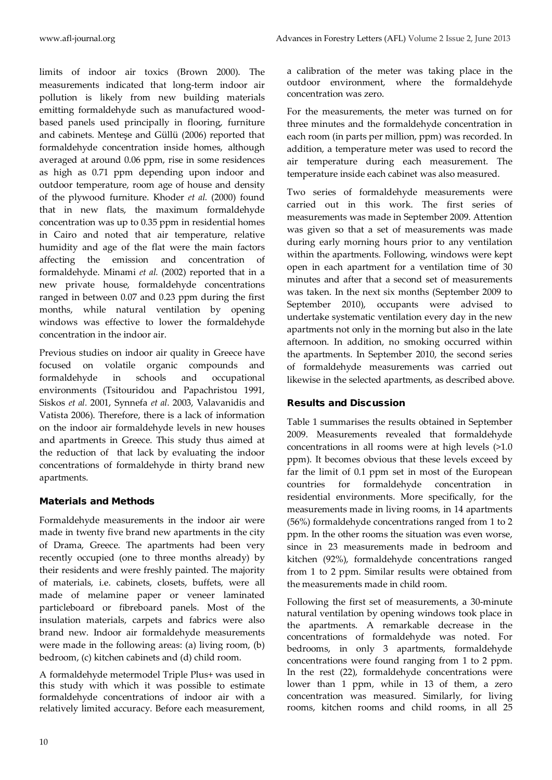limits of indoor air toxics (Brown 2000). The measurements indicated that long-term indoor air pollution is likely from new building materials emitting formaldehyde such as manufactured woodbased panels used principally in flooring, furniture and cabinets. Menteşe and Güllü (2006) reported that formaldehyde concentration inside homes, although averaged at around 0.06 ppm, rise in some residences as high as 0.71 ppm depending upon indoor and outdoor temperature, room age of house and density of the plywood furniture. Khoder *et al.* (2000) found that in new flats, the maximum formaldehyde concentration was up to 0.35 ppm in residential homes in Cairo and noted that air temperature, relative humidity and age of the flat were the main factors affecting the emission and concentration of formaldehyde. Minami *et al.* (2002) reported that in a new private house, formaldehyde concentrations ranged in between 0.07 and 0.23 ppm during the first months, while natural ventilation by opening windows was effective to lower the formaldehyde concentration in the indoor air.

Previous studies on indoor air quality in Greece have focused on volatile organic compounds and formaldehyde in schools and occupational environments (Tsitouridou and Papachristou 1991, Siskos *et al.* 2001, Synnefa *et al.* 2003, Valavanidis and Vatista 2006). Therefore, there is a lack of information on the indoor air formaldehyde levels in new houses and apartments in Greece. This study thus aimed at the reduction of that lack by evaluating the indoor concentrations of formaldehyde in thirty brand new apartments.

## Materials and Methods

Formaldehyde measurements in the indoor air were made in twenty five brand new apartments in the city of Drama, Greece. The apartments had been very recently occupied (one to three months already) by their residents and were freshly painted. The majority of materials, i.e. cabinets, closets, buffets, were all made of melamine paper or veneer laminated particleboard or fibreboard panels. Most of the insulation materials, carpets and fabrics were also brand new. Indoor air formaldehyde measurements were made in the following areas: (a) living room, (b) bedroom, (c) kitchen cabinets and (d) child room.

A formaldehyde metermodel Triple Plus+ was used in this study with which it was possible to estimate formaldehyde concentrations of indoor air with a relatively limited accuracy. Before each measurement,

a calibration of the meter was taking place in the outdoor environment, where the formaldehyde concentration was zero.

For the measurements, the meter was turned on for three minutes and the formaldehyde concentration in each room (in parts per million, ppm) was recorded. In addition, a temperature meter was used to record the air temperature during each measurement. The temperature inside each cabinet was also measured.

Two series of formaldehyde measurements were carried out in this work. The first series of measurements was made in September 2009. Attention was given so that a set of measurements was made during early morning hours prior to any ventilation within the apartments. Following, windows were kept open in each apartment for a ventilation time of 30 minutes and after that a second set of measurements was taken. In the next six months (September 2009 to September 2010), occupants were advised to undertake systematic ventilation every day in the new apartments not only in the morning but also in the late afternoon. In addition, no smoking occurred within the apartments. In September 2010, the second series of formaldehyde measurements was carried out likewise in the selected apartments, as described above.

## Results and Discussion

Table 1 summarises the results obtained in September 2009. Measurements revealed that formaldehyde concentrations in all rooms were at high levels (>1.0 ppm). It becomes obvious that these levels exceed by far the limit of 0.1 ppm set in most of the European countries for formaldehyde concentration in residential environments. More specifically, for the measurements made in living rooms, in 14 apartments (56%) formaldehyde concentrations ranged from 1 to 2 ppm. In the other rooms the situation was even worse, since in 23 measurements made in bedroom and kitchen (92%), formaldehyde concentrations ranged from 1 to 2 ppm. Similar results were obtained from the measurements made in child room.

Following the first set of measurements, a 30-minute natural ventilation by opening windows took place in the apartments. A remarkable decrease in the concentrations of formaldehyde was noted. For bedrooms, in only 3 apartments, formaldehyde concentrations were found ranging from 1 to 2 ppm. In the rest (22), formaldehyde concentrations were lower than 1 ppm, while in 13 of them, a zero concentration was measured. Similarly, for living rooms, kitchen rooms and child rooms, in all 25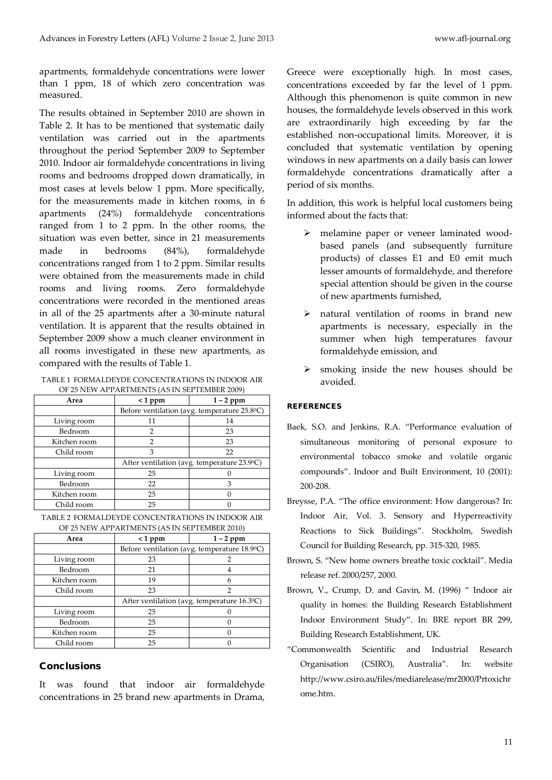apartments, formaldehyde concentrations were lower than 1 ppm, 18 of which zero concentration was measured.

The results obtained in September 2010 are shown in Table 2. It has to be mentioned that systematic daily ventilation was carried out in the apartments throughout the period September 2009 to September 2010. Indoor air formaldehyde concentrations in living rooms and bedrooms dropped down dramatically, in most cases at levels below 1 ppm. More specifically, for the measurements made in kitchen rooms, in 6 apartments (24%) formaldehyde concentrations ranged from 1 to 2 ppm. In the other rooms, the situation was even better, since in 21 measurements made in bedrooms (84%), formaldehyde concentrations ranged from 1 to 2 ppm. Similar results were obtained from the measurements made in child rooms and living rooms. Zero formaldehyde concentrations were recorded in the mentioned areas in all of the 25 apartments after a 30-minute natural ventilation. It is apparent that the results obtained in September 2009 show a much cleaner environment in all rooms investigated in these new apartments, as compared with the results of Table 1.

TABLE 1 FORMALDEYDE CONCENTRATIONS IN INDOOR AIR OF 25 NEW APPARTMENTS (AS IN SEPTEMBER 2009)

| Area         | $< 1$ ppm                                              | $1 - 2$ ppm |
|--------------|--------------------------------------------------------|-------------|
|              | Before ventilation (avg. temperature $25.8^{\circ}$ C) |             |
| Living room  | 11                                                     | 14          |
| Bedroom      |                                                        | 23          |
| Kitchen room | 2                                                      | 23          |
| Child room   | 3                                                      | 22          |
|              | After ventilation (avg. temperature 23.90C)            |             |
| Living room  | 25                                                     |             |
| Bedroom      | 22                                                     | 3           |
| Kitchen room | 25                                                     |             |
| Child room   | 25                                                     |             |

| TABLE 2 FORMALDEYDE CONCENTRATIONS IN INDOOR AIR |
|--------------------------------------------------|
| OF 25 NEW APPARTMENTS (AS IN SEPTEMBER 2010)     |

| Area         | $< 1$ ppm                                     | $1 - 2$ ppm |
|--------------|-----------------------------------------------|-------------|
|              | Before ventilation (avg. temperature 18.9 °C) |             |
| Living room  | 23                                            |             |
| Bedroom      | 21                                            |             |
| Kitchen room | 19                                            |             |
| Child room   | 23                                            | 2           |
|              | After ventilation (avg. temperature 16.30C)   |             |
| Living room  | 25                                            |             |
| Bedroom      | 25                                            |             |
| Kitchen room | 25                                            |             |
| Child room   | 25                                            |             |

### Conclusions

It was found that indoor air formaldehyde concentrations in 25 brand new apartments in Drama,

Greece were exceptionally high. In most cases, concentrations exceeded by far the level of 1 ppm. Although this phenomenon is quite common in new houses, the formaldehyde levels observed in this work are extraordinarily high exceeding by far the established non-occupational limits. Moreover, it is concluded that systematic ventilation by opening windows in new apartments on a daily basis can lower formaldehyde concentrations dramatically after a period of six months.

In addition, this work is helpful local customers being informed about the facts that:

- melamine paper or veneer laminated woodbased panels (and subsequently furniture products) of classes E1 and E0 emit much lesser amounts of formaldehyde, and therefore special attention should be given in the course of new apartments furnished,
- $\triangleright$  natural ventilation of rooms in brand new apartments is necessary, especially in the summer when high temperatures favour formaldehyde emission, and
- $\triangleright$  smoking inside the new houses should be avoided.

#### **REFERENCES**

- Baek, S.O. and Jenkins, R.A. "Performance evaluation of simultaneous monitoring of personal exposure to environmental tobacco smoke and volatile organic compounds". Indoor and Built Environment, 10 (2001): 200-208.
- Breysse, P.A. "The office environment: How dangerous? In: Indoor Air, Vol. 3. Sensory and Hyperreactivity Reactions to Sick Buildings". Stockholm, Swedish Council for Building Research, pp. 315-320, 1985.
- Brown, S. "New home owners breathe toxic cocktail". Media release ref. 2000/257, 2000.
- Brown, V., Crump, D. and Gavin, M. (1996) " Indoor air quality in homes: the Building Research Establishment Indoor Environment Study". In: BRE report BR 299, Building Research Establishment, UK.
- "Commonwealth Scientific and Industrial Research Organisation (CSIRO), Australia". In: website http://www.csiro.au/files/mediarelease/mr2000/Prtoxichr ome.htm.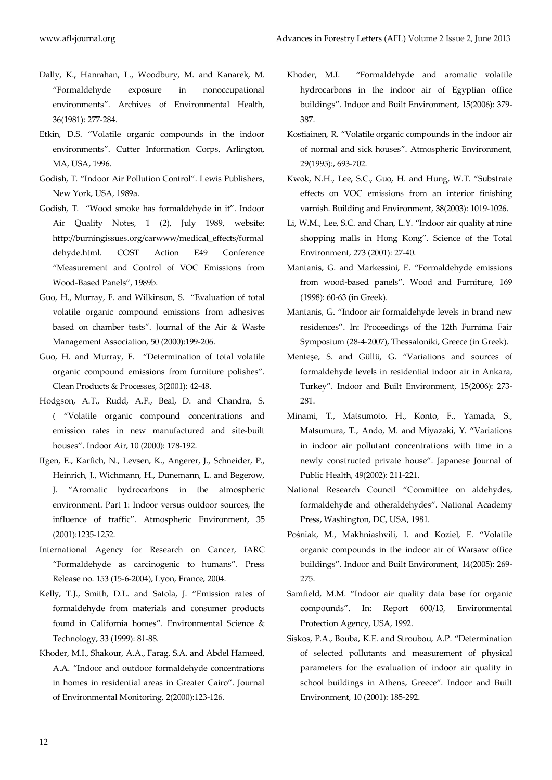- Dally, K., Hanrahan, L., Woodbury, M. and Kanarek, M. "Formaldehyde exposure in nonoccupational environments". Archives of Environmental Health, 36(1981): 277-284.
- Etkin, D.S. "Volatile organic compounds in the indoor environments". Cutter Information Corps, Arlington, MA, USA, 1996.
- Godish, T. "Indoor Air Pollution Control". Lewis Publishers, New York, USA, 1989a.
- Godish, T. "Wood smoke has formaldehyde in it". Indoor Air Quality Notes, 1 (2), July 1989, website: [http://burningissues.org/carwww/medical\\_effects/formal](http://burningissues.org/carwww/medical_effects/formaldehyde.html) [dehyde.html.](http://burningissues.org/carwww/medical_effects/formaldehyde.html) COST Action E49 Conference "Measurement and Control of VOC Emissions from Wood-Based Panels", 1989b.
- Guo, H., Murray, F. and Wilkinson, S. "Evaluation of total volatile organic compound emissions from adhesives based on chamber tests". Journal of the Air & Waste Management Association, 50 (2000):199-206.
- Guo, H. and Murray, F. "Determination of total volatile organic compound emissions from furniture polishes". Clean Products & Processes, 3(2001): 42-48.
- Hodgson, A.T., Rudd, A.F., Beal, D. and Chandra, S. ( "Volatile organic compound concentrations and emission rates in new manufactured and site-built houses". Indoor Air, 10 (2000): 178-192.
- IIgen, E., Karfich, N., Levsen, K., Angerer, J., Schneider, P., Heinrich, J., Wichmann, H., Dunemann, L. and Begerow, J. "Aromatic hydrocarbons in the atmospheric environment. Part 1: Indoor versus outdoor sources, the influence of traffic". Atmospheric Environment, 35 (2001):1235-1252.
- International Agency for Research on Cancer, IARC "Formaldehyde as carcinogenic to humans". Press Release no. 153 (15-6-2004), Lyon, France, 2004.
- Kelly, T.J., Smith, D.L. and Satola, J. "Emission rates of formaldehyde from materials and consumer products found in California homes". Environmental Science & Technology, 33 (1999): 81-88.
- Khoder, M.I., Shakour, A.A., Farag, S.A. and Abdel Hameed, A.A. "Indoor and outdoor formaldehyde concentrations in homes in residential areas in Greater Cairo". Journal of Environmental Monitoring, 2(2000):123-126.
- Khoder, M.I. "Formaldehyde and aromatic volatile hydrocarbons in the indoor air of Egyptian office buildings". Indoor and Built Environment, 15(2006): 379- 387.
- Kostiainen, R. "Volatile organic compounds in the indoor air of normal and sick houses". Atmospheric Environment, 29(1995):, 693-702.
- Kwok, N.H., Lee, S.C., Guo, H. and Hung, W.T. "Substrate effects on VOC emissions from an interior finishing varnish. Building and Environment, 38(2003): 1019-1026.
- Li, W.M., Lee, S.C. and Chan, L.Y. "Indoor air quality at nine shopping malls in Hong Kong". Science of the Total Environment, 273 (2001): 27-40.
- Mantanis, G. and Markessini, E. "Formaldehyde emissions from wood-based panels". Wood and Furniture, 169 (1998): 60-63 (in Greek).
- Mantanis, G. "Indoor air formaldehyde levels in brand new residences". In: Proceedings of the 12th Furnima Fair Symposium (28-4-2007), Thessaloniki, Greece (in Greek).
- Menteşe, S. and Güllü, G. "Variations and sources of formaldehyde levels in residential indoor air in Ankara, Turkey". Indoor and Built Environment, 15(2006): 273- 281.
- Minami, T., Matsumoto, H., Konto, F., Yamada, S., Matsumura, T., Ando, M. and Miyazaki, Y. "Variations in indoor air pollutant concentrations with time in a newly constructed private house". Japanese Journal of Public Health, 49(2002): 211-221.
- National Research Council "Committee on aldehydes, formaldehyde and otheraldehydes". National Academy Press, Washington, DC, USA, 1981.
- Pośniak, M., Makhniashvili, I. and Koziel, E. "Volatile organic compounds in the indoor air of Warsaw office buildings". Indoor and Built Environment, 14(2005): 269- 275.
- Samfield, M.M. "Indoor air quality data base for organic compounds". In: Report 600/13, Environmental Protection Agency, USA, 1992.
- Siskos, P.A., Bouba, K.E. and Stroubou, A.P. "Determination of selected pollutants and measurement of physical parameters for the evaluation of indoor air quality in school buildings in Athens, Greece". Indoor and Built Environment, 10 (2001): 185-292.